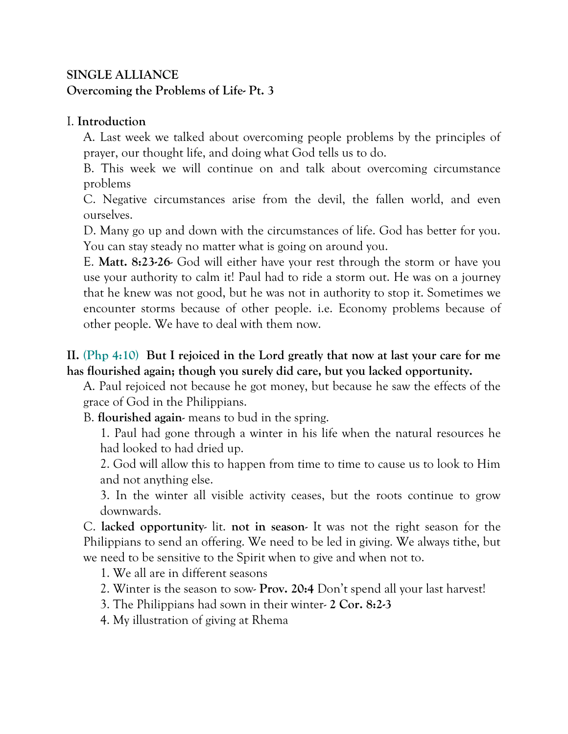## **SINGLE ALLIANCE Overcoming the Problems of Life- Pt. 3**

#### I. **Introduction**

A. Last week we talked about overcoming people problems by the principles of prayer, our thought life, and doing what God tells us to do.

B. This week we will continue on and talk about overcoming circumstance problems

C. Negative circumstances arise from the devil, the fallen world, and even ourselves.

D. Many go up and down with the circumstances of life. God has better for you. You can stay steady no matter what is going on around you.

E. **Matt. 8:23-26**- God will either have your rest through the storm or have you use your authority to calm it! Paul had to ride a storm out. He was on a journey that he knew was not good, but he was not in authority to stop it. Sometimes we encounter storms because of other people. i.e. Economy problems because of other people. We have to deal with them now.

## **II. (Php 4:10) But I rejoiced in the Lord greatly that now at last your care for me has flourished again; though you surely did care, but you lacked opportunity.**

A. Paul rejoiced not because he got money, but because he saw the effects of the grace of God in the Philippians.

B. **flourished again**- means to bud in the spring.

1. Paul had gone through a winter in his life when the natural resources he had looked to had dried up.

2. God will allow this to happen from time to time to cause us to look to Him and not anything else.

3. In the winter all visible activity ceases, but the roots continue to grow downwards.

C. **lacked opportunity**- lit. **not in season**- It was not the right season for the Philippians to send an offering. We need to be led in giving. We always tithe, but we need to be sensitive to the Spirit when to give and when not to.

1. We all are in different seasons

- 2. Winter is the season to sow- **Prov. 20:4** Don't spend all your last harvest!
- 3. The Philippians had sown in their winter- **2 Cor. 8:2-3**
- 4. My illustration of giving at Rhema